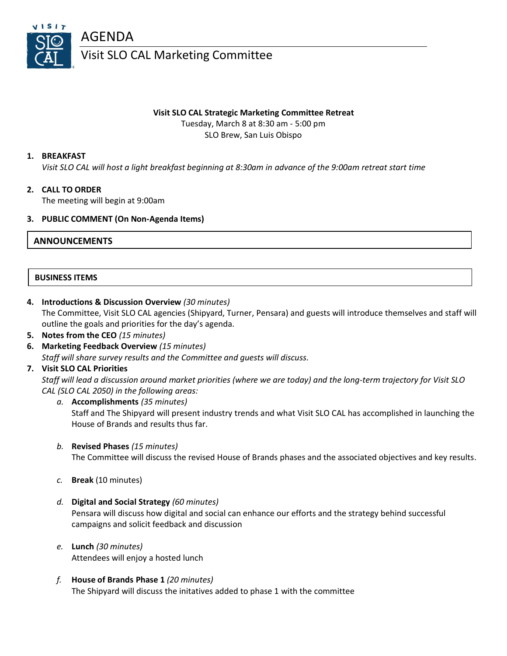

## **Visit SLO CAL Strategic Marketing Committee Retreat**

Tuesday, March 8 at 8:30 am - 5:00 pm SLO Brew, San Luis Obispo

## **1. BREAKFAST**

*Visit SLO CAL will host a light breakfast beginning at 8:30am in advance of the 9:00am retreat start time*

# **2. CALL TO ORDER**

The meeting will begin at 9:00am

#### **3. PUBLIC COMMENT (On Non-Agenda Items)**

# **ANNOUNCEMENTS**

#### **BUSINESS ITEMS**

- **4. Introductions & Discussion Overview** *(30 minutes)* The Committee, Visit SLO CAL agencies (Shipyard, Turner, Pensara) and guests will introduce themselves and staff will outline the goals and priorities for the day's agenda.
- **5. Notes from the CEO** *(15 minutes)*
- **6. Marketing Feedback Overview** *(15 minutes) Staff will share survey results and the Committee and guests will discuss.*

### **7. Visit SLO CAL Priorities**

*Staff will lead a discussion around market priorities (where we are today) and the long-term trajectory for Visit SLO CAL (SLO CAL 2050) in the following areas:*

- *a.* **Accomplishments** *(35 minutes)* Staff and The Shipyard will present industry trends and what Visit SLO CAL has accomplished in launching the House of Brands and results thus far.
- *b.* **Revised Phases** *(15 minutes)* The Committee will discuss the revised House of Brands phases and the associated objectives and key results.
- *c.* **Break** (10 minutes)
- *d.* **Digital and Social Strategy** *(60 minutes)* Pensara will discuss how digital and social can enhance our efforts and the strategy behind successful campaigns and solicit feedback and discussion
- *e.* **Lunch** *(30 minutes)* Attendees will enjoy a hosted lunch
- *f.* **House of Brands Phase 1** *(20 minutes)* The Shipyard will discuss the initatives added to phase 1 with the committee